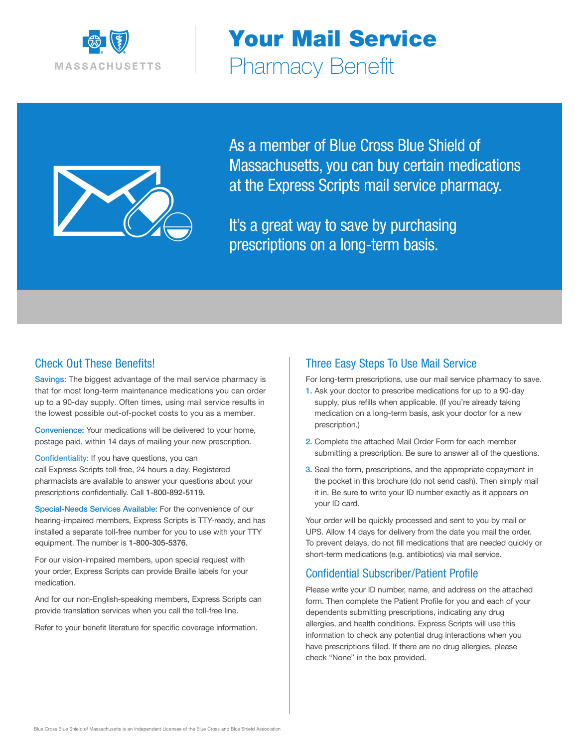

Your Mail Service Pharmacy Benefit



As a member of Blue Cross Blue Shield of Massachusetts, you can buy certain medications at the Express Scripts mail service pharmacy.

It's a great way to save by purchasing prescriptions on a long-term basis.

### Check Out These Benefits!

Savings: The biggest advantage of the mail service pharmacy is that for most long-term maintenance medications you can order up to a 90-day supply. Often times, using mail service results in the lowest possible out-of-pocket costs to you as a member.

Convenience: Your medications will be delivered to your home, postage paid, within 14 days of mailing your new prescription.

Confidentiality: If you have questions, you can call Express Scripts toll-free, 24 hours a day. Registered pharmacists are available to answer your questions about your prescriptions confidentially. Call 1-800-892-5119.

Special-Needs Services Available: For the convenience of our hearing-impaired members, Express Scripts is TTY-ready, and has installed a separate toll-free number for you to use with your TTY equipment. The number is 1-800-305-5376.

For our vision-impaired members, upon special request with your order, Express Scripts can provide Braille labels for your medication.

And for our non-English-speaking members, Express Scripts can provide translation services when you call the toll-free line.

Refer to your benefit literature for specific coverage information.

### Three Easy Steps To Use Mail Service

For long-term prescriptions, use our mail service pharmacy to save.

- 1. Ask your doctor to prescribe medications for up to a 90-day supply, plus refills when applicable. (If you're already taking medication on a long-term basis, ask your doctor for a new prescription.)
- 2. Complete the attached Mail Order Form for each member submitting a prescription. Be sure to answer all of the questions.
- 3. Seal the form, prescriptions, and the appropriate copayment in the pocket in this brochure (do not send cash). Then simply mail it in. Be sure to write your ID number exactly as it appears on your ID card.

Your order will be quickly processed and sent to you by mail or UPS. Allow 14 days for delivery from the date you mail the order. To prevent delays, do not fill medications that are needed quickly or short-term medications (e.g. antibiotics) via mail service.

### Confidential Subscriber/Patient Profile

Please write your ID number, name, and address on the attached form. Then complete the Patient Profile for you and each of your dependents submitting prescriptions, indicating any drug allergies, and health conditions. Express Scripts will use this information to check any potential drug interactions when you have prescriptions filled. If there are no drug allergies, please check "None" in the box provided.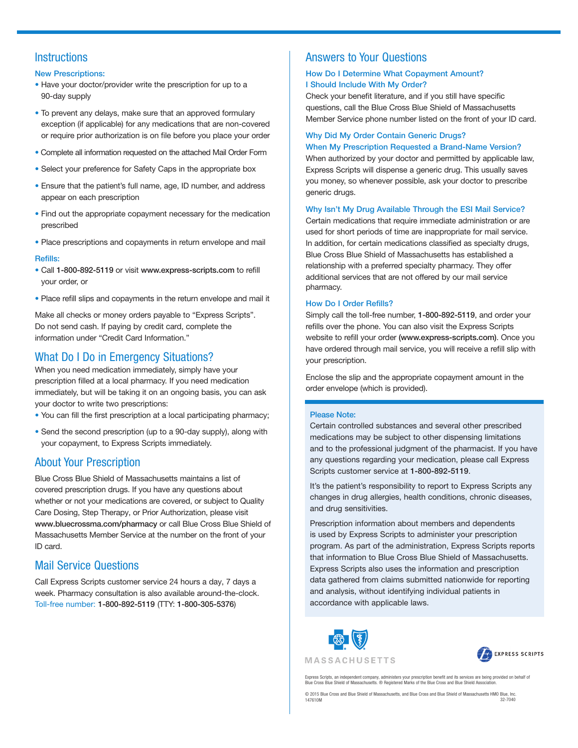# **Instructions**

#### New Prescriptions:

- Have your doctor/provider write the prescription for up to a 90-day supply
- To prevent any delays, make sure that an approved formulary exception (if applicable) for any medications that are non-covered or require prior authorization is on file before you place your order
- Complete all information requested on the attached Mail Order Form
- Select your preference for Safety Caps in the appropriate box
- Ensure that the patient's full name, age, ID number, and address appear on each prescription
- Find out the appropriate copayment necessary for the medication prescribed
- Place prescriptions and copayments in return envelope and mail

#### Refills:

- Call 1-800-892-5119 or visit www.express-scripts.com to refill your order, or
- Place refill slips and copayments in the return envelope and mail it

Make all checks or money orders payable to "Express Scripts". Do not send cash. If paying by credit card, complete the information under "Credit Card Information."

# What Do I Do in Emergency Situations?

When you need medication immediately, simply have your prescription filled at a local pharmacy. If you need medication immediately, but will be taking it on an ongoing basis, you can ask your doctor to write two prescriptions:

- You can fill the first prescription at a local participating pharmacy;
- Send the second prescription (up to a 90-day supply), along with your copayment, to Express Scripts immediately.

# About Your Prescription

Blue Cross Blue Shield of Massachusetts maintains a list of covered prescription drugs. If you have any questions about whether or not your medications are covered, or subject to Quality Care Dosing, Step Therapy, or Prior Authorization, please visit www.bluecrossma.com/pharmacy or call Blue Cross Blue Shield of Massachusetts Member Service at the number on the front of your ID card.

# Mail Service Questions

Call Express Scripts customer service 24 hours a day, 7 days a week. Pharmacy consultation is also available around-the-clock. Toll-free number: 1-800-892-5119 (TTY: 1-800-305-5376)

# Answers to Your Questions

### How Do I Determine What Copayment Amount? I Should Include With My Order?

Check your benefit literature, and if you still have specific questions, call the Blue Cross Blue Shield of Massachusetts Member Service phone number listed on the front of your ID card.

### Why Did My Order Contain Generic Drugs? When My Prescription Requested a Brand-Name Version?

When authorized by your doctor and permitted by applicable law, Express Scripts will dispense a generic drug. This usually saves you money, so whenever possible, ask your doctor to prescribe generic drugs.

#### Why Isn't My Drug Available Through the ESI Mail Service?

Certain medications that require immediate administration or are used for short periods of time are inappropriate for mail service. In addition, for certain medications classified as specialty drugs, Blue Cross Blue Shield of Massachusetts has established a relationship with a preferred specialty pharmacy. They offer additional services that are not offered by our mail service pharmacy.

#### How Do I Order Refills?

Simply call the toll-free number, 1-800-892-5119, and order your refills over the phone. You can also visit the Express Scripts website to refill your order (www.express-scripts.com). Once you have ordered through mail service, you will receive a refill slip with your prescription.

Enclose the slip and the appropriate copayment amount in the order envelope (which is provided).

#### Please Note:

Certain controlled substances and several other prescribed medications may be subject to other dispensing limitations and to the professional judgment of the pharmacist. If you have any questions regarding your medication, please call Express Scripts customer service at 1-800-892-5119.

It's the patient's responsibility to report to Express Scripts any changes in drug allergies, health conditions, chronic diseases, and drug sensitivities.

Prescription information about members and dependents is used by Express Scripts to administer your prescription program. As part of the administration, Express Scripts reports that information to Blue Cross Blue Shield of Massachusetts. Express Scripts also uses the information and prescription data gathered from claims submitted nationwide for reporting and analysis, without identifying individual patients in accordance with applicable laws.





Express Scripts, an independent company, administers your prescription benefit and its services are being provided on behalf of<br>Blue Cross Blue Shield of Massachusetts. ® Registered Marks of the Blue Cross and Blue Shield

© 2015 Blue Cross and Blue Shield of Massachusetts, and Blue Cross and Blue Shield of Massachusetts HMO Blue, Inc. 147610M 32-7040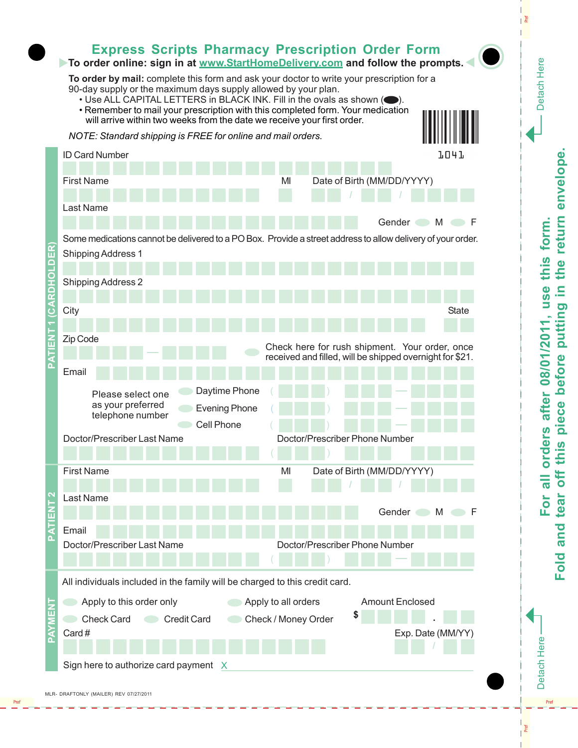

Pref

I et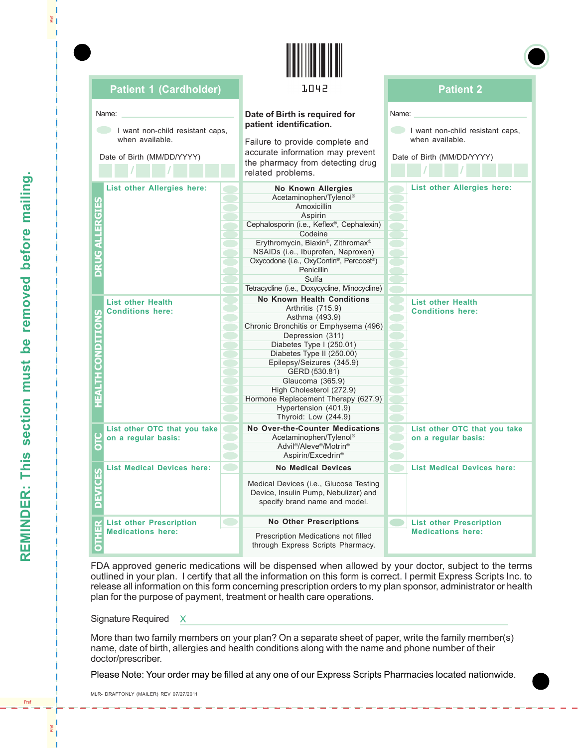| <b>Patient 1 (Cardholder)</b>                                                              | 1042                                                                                                                                                                                                                                                                                                                                                                                | <b>Patient 2</b><br>Name:<br>I want non-child resistant caps.<br>when available.<br>Date of Birth (MM/DD/YYYY) |  |  |
|--------------------------------------------------------------------------------------------|-------------------------------------------------------------------------------------------------------------------------------------------------------------------------------------------------------------------------------------------------------------------------------------------------------------------------------------------------------------------------------------|----------------------------------------------------------------------------------------------------------------|--|--|
| Name:<br>I want non-child resistant caps.<br>when available.<br>Date of Birth (MM/DD/YYYY) | Date of Birth is required for<br>patient identification.<br>Failure to provide complete and<br>accurate information may prevent<br>the pharmacy from detecting drug<br>related problems.                                                                                                                                                                                            |                                                                                                                |  |  |
| <b>List other Allergies here:</b><br>GIES<br>GALLER<br>◠                                   | <b>No Known Allergies</b><br>Acetaminophen/Tylenol®<br><b>Amoxicillin</b><br>Aspirin<br>Cephalosporin (i.e., Keflex®, Cephalexin)<br>Codeine<br>Erythromycin, Biaxin®, Zithromax®<br>NSAIDs (i.e., Ibuprofen, Naproxen)<br>Oxycodone (i.e., OxyContin®, Percocet®)<br><b>Penicillin</b><br>Sulfa<br>Tetracycline (i.e., Doxycycline, Minocycline)                                   | List other Allergies here:                                                                                     |  |  |
| <b>List other Health</b><br><b>Conditions here:</b><br>ó<br>E<br>ă                         | <b>No Known Health Conditions</b><br>Arthritis (715.9)<br>Asthma (493.9)<br>Chronic Bronchitis or Emphysema (496)<br>Depression (311)<br>Diabetes Type I (250.01)<br>Diabetes Type II (250.00)<br>Epilepsy/Seizures (345.9)<br>GERD (530.81)<br>Glaucoma (365.9)<br>High Cholesterol (272.9)<br>Hormone Replacement Therapy (627.9)<br>Hypertension (401.9)<br>Thyroid: Low (244.9) | <b>List other Health</b><br><b>Conditions here:</b>                                                            |  |  |
| List other OTC that you take<br>on a regular basis:<br>Б                                   | <b>No Over-the-Counter Medications</b><br>Acetaminophen/Tylenol®<br>Advil <sup>®</sup> /Aleve <sup>®</sup> /Motrin <sup>®</sup><br>Aspirin/Excedrin <sup>®</sup>                                                                                                                                                                                                                    | List other OTC that you take<br>on a regular basis:                                                            |  |  |
| <b>List Medical Devices here:</b><br>ပ္ပ                                                   | <b>No Medical Devices</b><br>Medical Devices (i.e., Glucose Testing<br>Device, Insulin Pump, Nebulizer) and<br>specify brand name and model.                                                                                                                                                                                                                                        | <b>List Medical Devices here:</b>                                                                              |  |  |
| $\mathbf{K}$<br><b>List other Prescription</b><br><b>Medications here:</b><br><b>TH</b>    | <b>No Other Prescriptions</b><br>Prescription Medications not filled<br>through Express Scripts Pharmacy.                                                                                                                                                                                                                                                                           | $\qquad \qquad \blacksquare$<br><b>List other Prescription</b><br><b>Medications here:</b>                     |  |  |

**TITLE IN THE TELL** 

FDA approved generic medications will be dispensed when allowed by your doctor, subject to the terms outlined in your plan. I certify that all the information on this form is correct. I permit Express Scripts Inc. to release all information on this form concerning prescription orders to my plan sponsor, administrator or health plan for the purpose of payment, treatment or health care operations.

Signature Required X

More than two family members on your plan? On a separate sheet of paper, write the family member(s) name, date of birth, allergies and health conditions along with the name and phone number of their doctor/prescriber.

Please Note: Your order may be filled at any one of our Express Scripts Pharmacies located nationwide.

MLR- DRAFTONLY (MAILER) REV 07/27/2011

Ţ Pref

Pref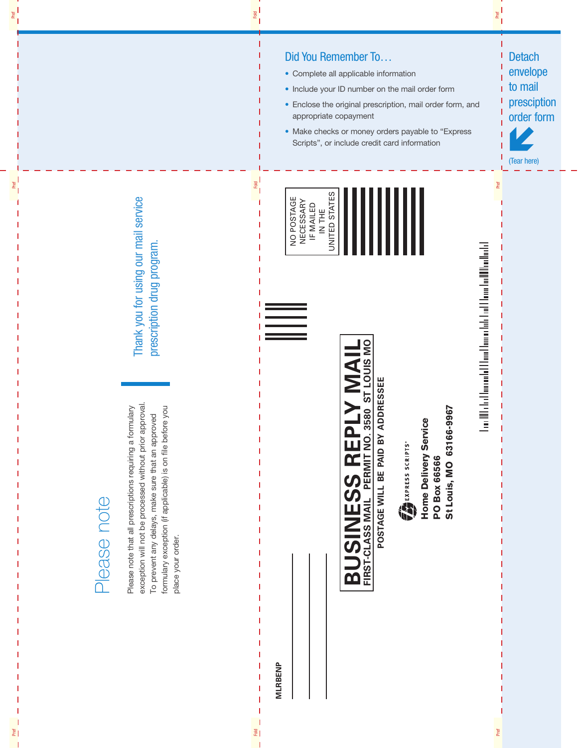exception will not be processed without prior approval. exception will not be processed without prior approval. Please note that all prescriptions requiring a formulary formulary exception (if applicable) is on file before you Please note that all prescriptions requiring a formulary formulary exception (if applicable) is on file before you To prevent any delays, make sure that an approved To prevent any delays, make sure that an approved place your order. place your order.

Thank you for using our mail service Thank you for using our mail service prescription drug program. prescription drug program.

Pref

Pref Pref

 $E$ 

 $rac{1}{2}$ 

Fold Fold



 $\frac{1}{2}$ 

**Te** 

- Complete all applicable information
- Include your ID number on the mail order form
- Enclose the original prescription, mail order form, and appropriate copayment
- Make checks or money orders payable to "Express Scripts", or include credit card information

Pref

| NO POSTAGE<br>NECESSARY | IF MAILED<br>HH TH | UNITED STATES |  |  |  |
|-------------------------|--------------------|---------------|--|--|--|
|                         |                    |               |  |  |  |

**BUSINESS REPLY MAIL FIRST-CLASS MAIL PERMIT NO. 3580 ST LOUIS MO POSTAGE WILL BE PAID BY ADDRESSEE**

**BUSINESS REPLY MAIL** 

POSTAGE WILL BE PAID BY ADDRESSEE

**Home Delivery Service**

**Home Delivery Service** 

EXPRESS SCRIPTS®

**PO Box 66566**

**PO Box 66566** 

**St Louis, MO 63166-9967**

St Louis, MO 63166-9967

Lon Michel barrochd Floral barne late Lad Floracha Mhodlach I

Pref Prefer<sub>c</sub>